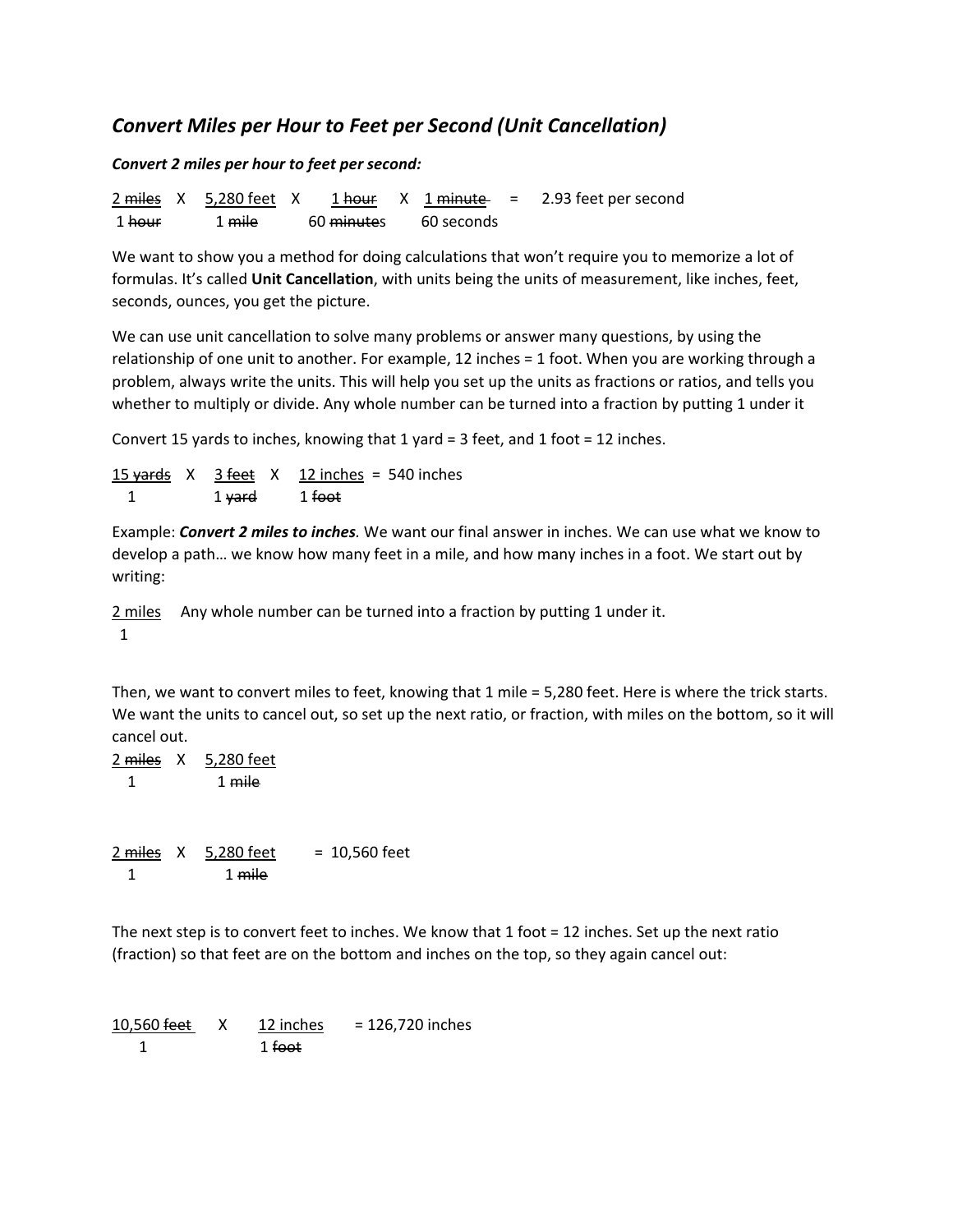## *Convert Miles per Hour to Feet per Second (Unit Cancellation)*

*Convert 2 miles per hour to feet per second:*

 $2 \text{ miles } X = 5,280 \text{ feet } X = 1 \text{ hour } X = 1 \text{ minute } = 2.93 \text{ feet per second}$ 1 hour 1 mile 60 minutes 60 seconds

We want to show you a method for doing calculations that won't require you to memorize a lot of formulas. It's called **Unit Cancellation**, with units being the units of measurement, like inches, feet, seconds, ounces, you get the picture.

We can use unit cancellation to solve many problems or answer many questions, by using the relationship of one unit to another. For example, 12 inches = 1 foot. When you are working through a problem, always write the units. This will help you set up the units as fractions or ratios, and tells you whether to multiply or divide. Any whole number can be turned into a fraction by putting 1 under it

Convert 15 yards to inches, knowing that 1 yard = 3 feet, and 1 foot = 12 inches.

15 yards  $X = 3$  feet  $X = 12$  inches = 540 inches 1 1 yard 1 foot

Example: *Convert 2 miles to inches.* We want our final answer in inches. We can use what we know to develop a path… we know how many feet in a mile, and how many inches in a foot. We start out by writing:

2 miles Any whole number can be turned into a fraction by putting 1 under it. 1

Then, we want to convert miles to feet, knowing that 1 mile = 5,280 feet. Here is where the trick starts. We want the units to cancel out, so set up the next ratio, or fraction, with miles on the bottom, so it will cancel out.

2 miles X 5,280 feet 1 1 mile

 $2 \text{ miles}$  X  $5,280 \text{ feet}$  = 10,560 feet 1 1 mile

The next step is to convert feet to inches. We know that 1 foot = 12 inches. Set up the next ratio (fraction) so that feet are on the bottom and inches on the top, so they again cancel out:

 $10,560$  feet  $X = 12$  inches = 126,720 inches 1 1 foot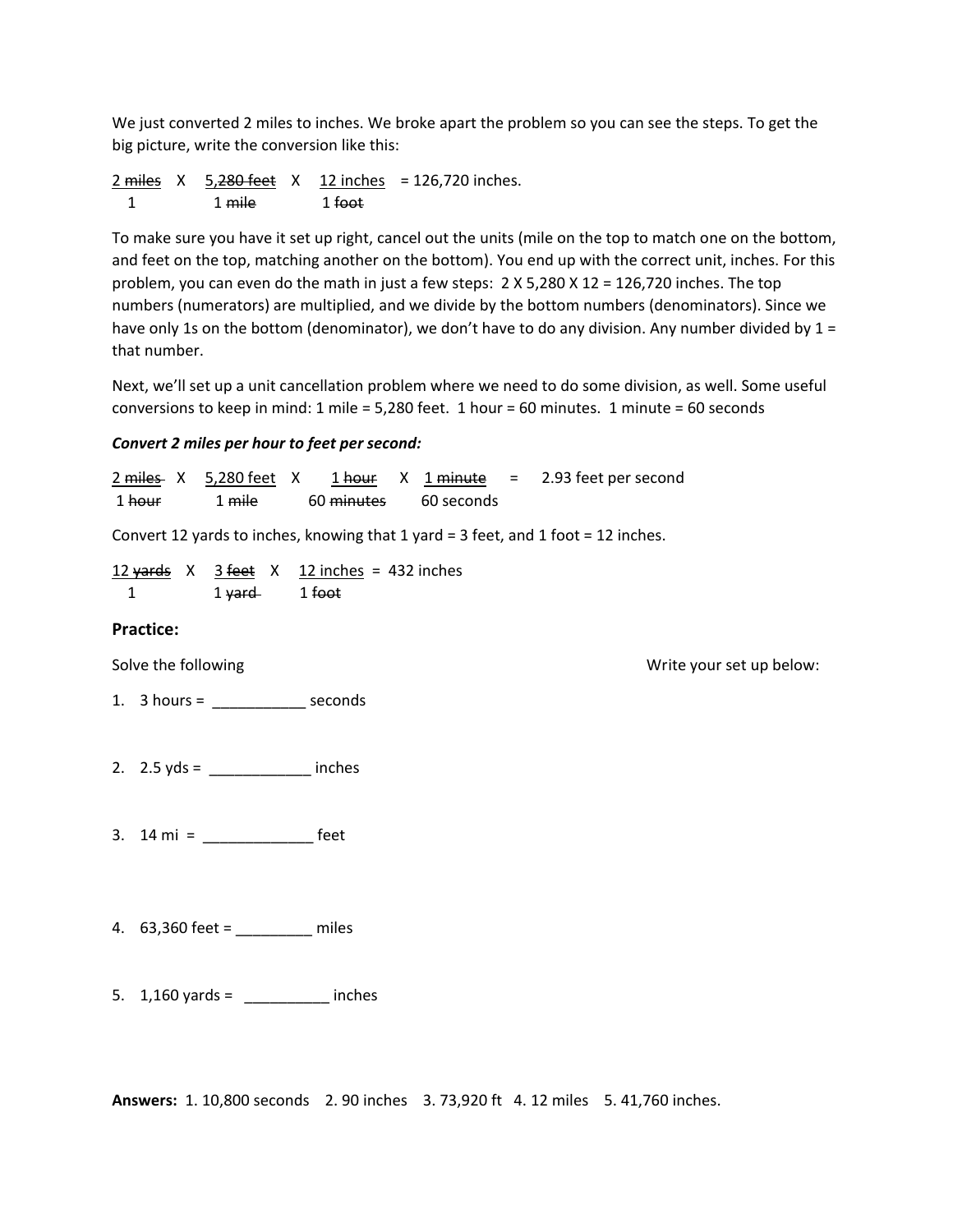We just converted 2 miles to inches. We broke apart the problem so you can see the steps. To get the big picture, write the conversion like this:

2 miles X 5,280 feet X 12 inches = 126,720 inches. 1 1 mile 1 foot

To make sure you have it set up right, cancel out the units (mile on the top to match one on the bottom, and feet on the top, matching another on the bottom). You end up with the correct unit, inches. For this problem, you can even do the math in just a few steps: 2 X 5,280 X 12 = 126,720 inches. The top numbers (numerators) are multiplied, and we divide by the bottom numbers (denominators). Since we have only 1s on the bottom (denominator), we don't have to do any division. Any number divided by 1 = that number.

Next, we'll set up a unit cancellation problem where we need to do some division, as well. Some useful conversions to keep in mind: 1 mile = 5,280 feet. 1 hour = 60 minutes. 1 minute = 60 seconds

## *Convert 2 miles per hour to feet per second:*

 $2 \text{ miles}$  X  $5,280 \text{ feet}$  X  $1 \text{ hour}$  X  $1 \text{ minute}$  = 2.93 feet per second 1 hour 1 mile 60 minutes 60 seconds Convert 12 yards to inches, knowing that 1 yard = 3 feet, and 1 foot = 12 inches.  $12 \text{ yards}$  X  $3 \text{ feet}$  X  $12 \text{ inches}$  = 432 inches 1 1 yard 1 foot **Practice:** Solve the following states and the following states of the states of the states of the states of the states of the states of the states of the states of the states of the states of the states of the states of the states of 1. 3 hours = \_\_\_\_\_\_\_\_\_\_\_ seconds 2.  $2.5 \text{ yds} = \_ \_ \_ \_ \}$  inches 3. 14 mi = \_\_\_\_\_\_\_\_\_\_\_\_\_ feet 4. 63,360 feet = \_\_\_\_\_\_\_\_\_ miles 5. 1,160 yards = \_\_\_\_\_\_\_\_\_\_ inches

**Answers:** 1. 10,800 seconds 2. 90 inches 3. 73,920 ft 4. 12 miles 5. 41,760 inches.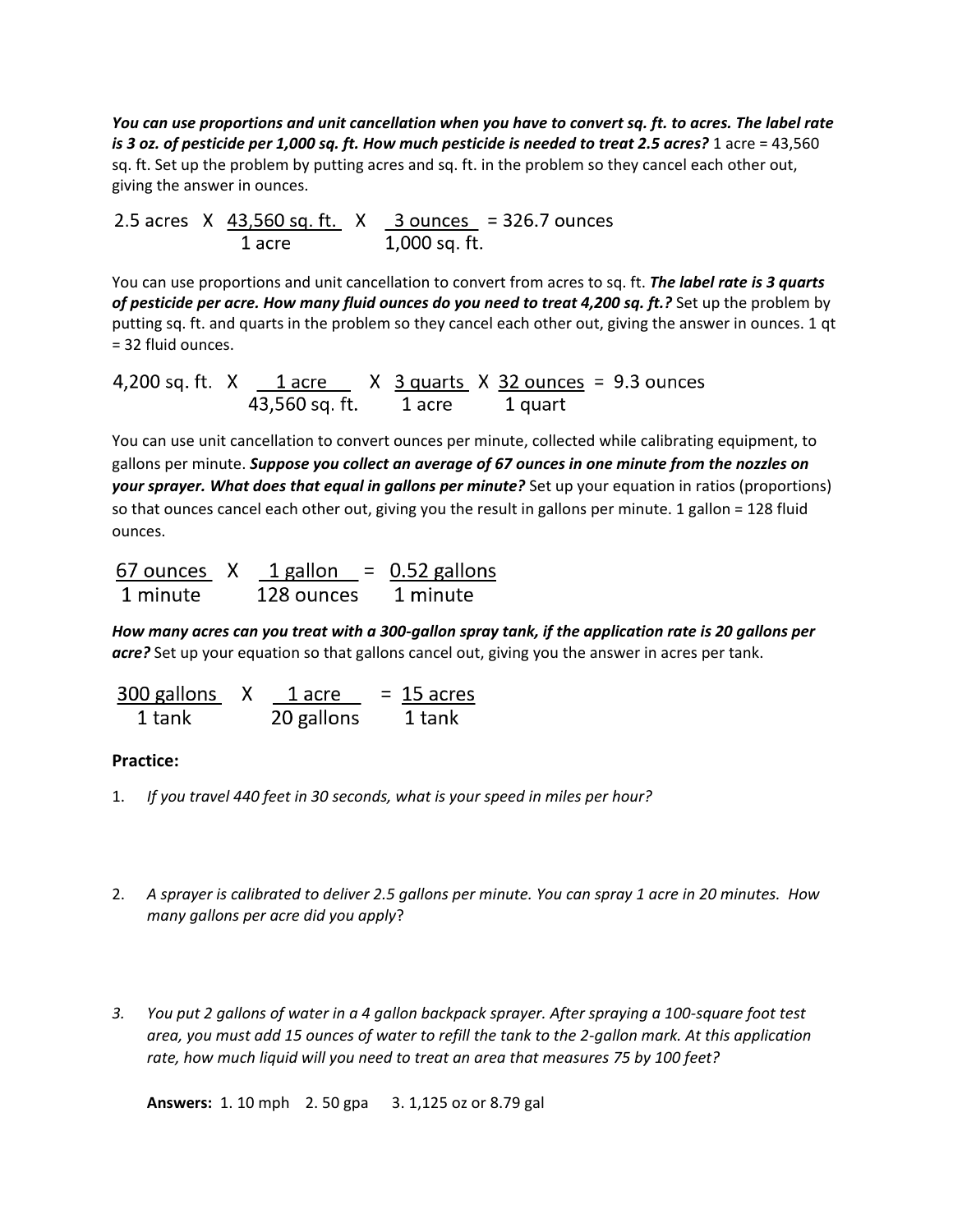*You can use proportions and unit cancellation when you have to convert sq. ft. to acres. The label rate is 3 oz. of pesticide per 1,000 sq. ft. How much pesticide is needed to treat 2.5 acres?* 1 acre = 43,560 sq. ft. Set up the problem by putting acres and sq. ft. in the problem so they cancel each other out, giving the answer in ounces.

2.5 acres  $X$   $\frac{43,560 \text{ sq. ft.}}{1 \text{ acre}}$   $X$   $\frac{3 \text{ ounces}}{1,000 \text{ sq. ft.}}$  = 326.7 ounces

You can use proportions and unit cancellation to convert from acres to sq. ft. *The label rate is 3 quarts of pesticide per acre. How many fluid ounces do you need to treat 4,200 sq. ft.?* Set up the problem by putting sq. ft. and quarts in the problem so they cancel each other out, giving the answer in ounces. 1 qt = 32 fluid ounces.

4,200 sq. ft.  $X$   $1$  acre  $X$   $3$  quarts  $X$   $32$  ounces = 9.3 ounces<br>43,560 sq. ft.  $1$  acre  $1$  quart

You can use unit cancellation to convert ounces per minute, collected while calibrating equipment, to gallons per minute. *Suppose you collect an average of 67 ounces in one minute from the nozzles on your sprayer. What does that equal in gallons per minute?* Set up your equation in ratios (proportions) so that ounces cancel each other out, giving you the result in gallons per minute. 1 gallon = 128 fluid ounces.

| 67 ounces X | 1 gallon   | $=$ 0.52 gallons |
|-------------|------------|------------------|
| 1 minute    | 128 ounces | 1 minute         |

*How many acres can you treat with a 300-gallon spray tank, if the application rate is 20 gallons per acre?* Set up your equation so that gallons cancel out, giving you the answer in acres per tank.

| 300 gallons | 1 acre     | $= 15$ acres |
|-------------|------------|--------------|
| 1 tank      | 20 gallons | 1 tank       |

## **Practice:**

- 1. *If you travel 440 feet in 30 seconds, what is your speed in miles per hour?*
- 2. *A sprayer is calibrated to deliver 2.5 gallons per minute. You can spray 1 acre in 20 minutes. How many gallons per acre did you apply*?
- *3. You put 2 gallons of water in a 4 gallon backpack sprayer. After spraying a 100-square foot test area, you must add 15 ounces of water to refill the tank to the 2-gallon mark. At this application rate, how much liquid will you need to treat an area that measures 75 by 100 feet?*

**Answers:** 1. 10 mph 2. 50 gpa 3. 1,125 oz or 8.79 gal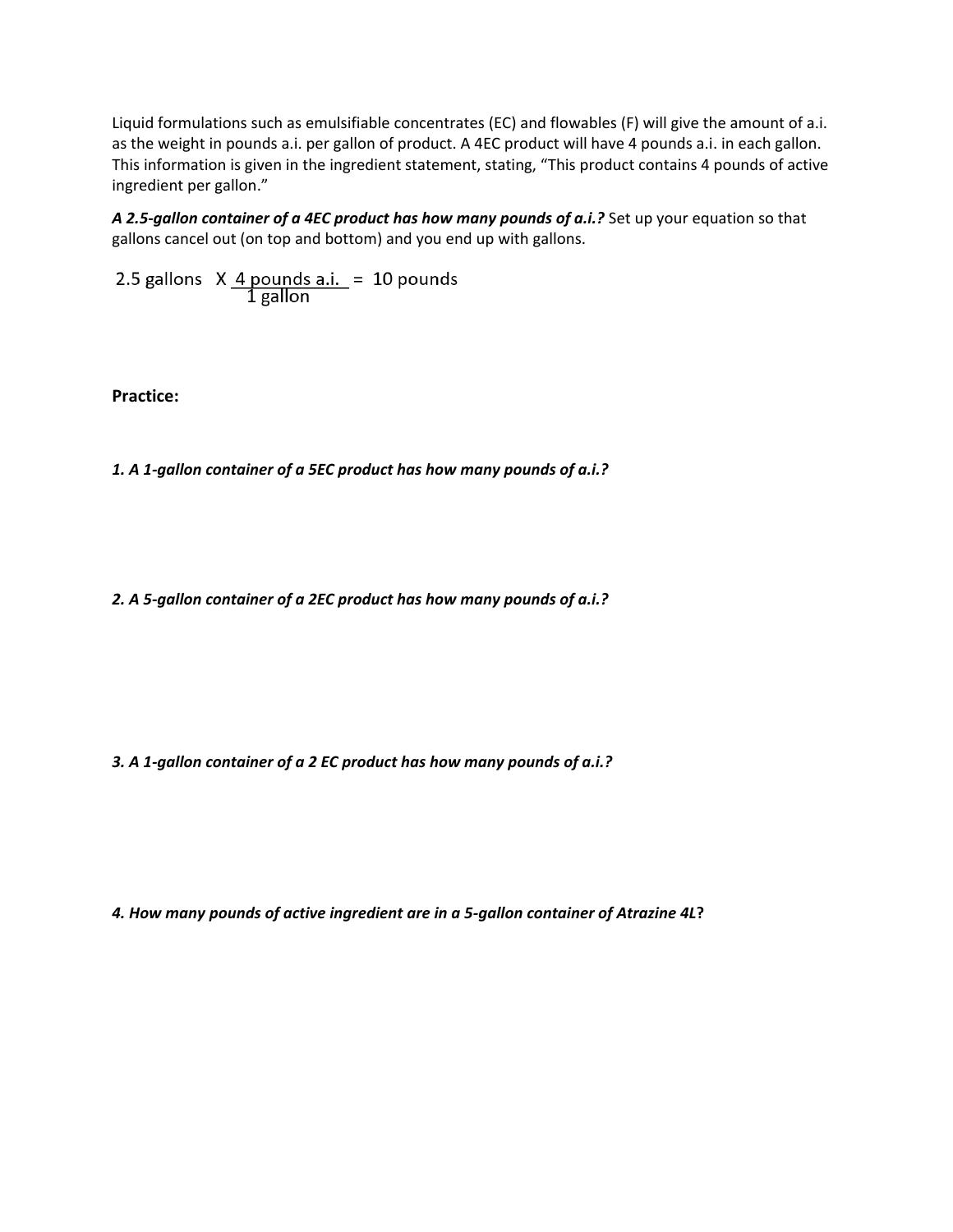Liquid formulations such as emulsifiable concentrates (EC) and flowables (F) will give the amount of a.i. as the weight in pounds a.i. per gallon of product. A 4EC product will have 4 pounds a.i. in each gallon. This information is given in the ingredient statement, stating, "This product contains 4 pounds of active ingredient per gallon."

*A 2.5-gallon container of a 4EC product has how many pounds of a.i.?* Set up your equation so that gallons cancel out (on top and bottom) and you end up with gallons.

2.5 gallons  $X \frac{4 \text{ pounds a.i.}}{1 \text{ gallon}} = 10 \text{ pounds}$ 

**Practice:**

*1. A 1-gallon container of a 5EC product has how many pounds of a.i.?*

*2. A 5-gallon container of a 2EC product has how many pounds of a.i.?*

*3. A 1-gallon container of a 2 EC product has how many pounds of a.i.?*

*4. How many pounds of active ingredient are in a 5-gallon container of Atrazine 4L***?**